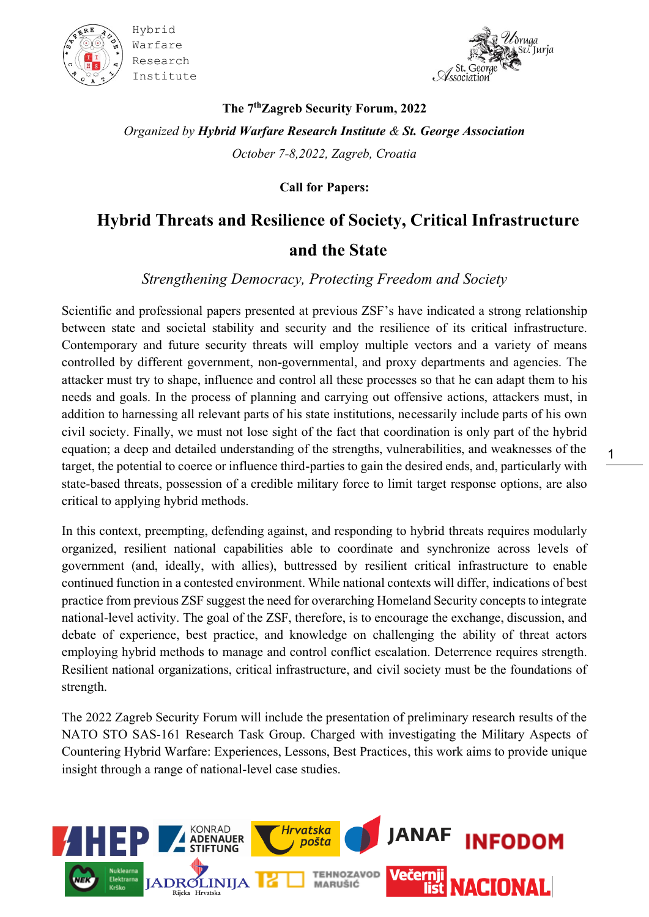



1

**The 7 thZagreb Security Forum, 2022** *Organized by Hybrid Warfare Research Institute & St. George Association October 7-8,2022, Zagreb, Croatia*

**Call for Papers:**

## **Hybrid Threats and Resilience of Society, Critical Infrastructure**

## **and the State**

*Strengthening Democracy, Protecting Freedom and Society*

Scientific and professional papers presented at previous ZSF's have indicated a strong relationship between state and societal stability and security and the resilience of its critical infrastructure. Contemporary and future security threats will employ multiple vectors and a variety of means controlled by different government, non-governmental, and proxy departments and agencies. The attacker must try to shape, influence and control all these processes so that he can adapt them to his needs and goals. In the process of planning and carrying out offensive actions, attackers must, in addition to harnessing all relevant parts of his state institutions, necessarily include parts of his own civil society. Finally, we must not lose sight of the fact that coordination is only part of the hybrid equation; a deep and detailed understanding of the strengths, vulnerabilities, and weaknesses of the target, the potential to coerce or influence third-parties to gain the desired ends, and, particularly with state-based threats, possession of a credible military force to limit target response options, are also critical to applying hybrid methods.

In this context, preempting, defending against, and responding to hybrid threats requires modularly organized, resilient national capabilities able to coordinate and synchronize across levels of government (and, ideally, with allies), buttressed by resilient critical infrastructure to enable continued function in a contested environment. While national contexts will differ, indications of best practice from previous ZSF suggest the need for overarching Homeland Security concepts to integrate national-level activity. The goal of the ZSF, therefore, is to encourage the exchange, discussion, and debate of experience, best practice, and knowledge on challenging the ability of threat actors employing hybrid methods to manage and control conflict escalation. Deterrence requires strength. Resilient national organizations, critical infrastructure, and civil society must be the foundations of strength.

The 2022 Zagreb Security Forum will include the presentation of preliminary research results of the NATO STO SAS-161 Research Task Group. Charged with investigating the Military Aspects of Countering Hybrid Warfare: Experiences, Lessons, Best Practices, this work aims to provide unique insight through a range of national-level case studies.